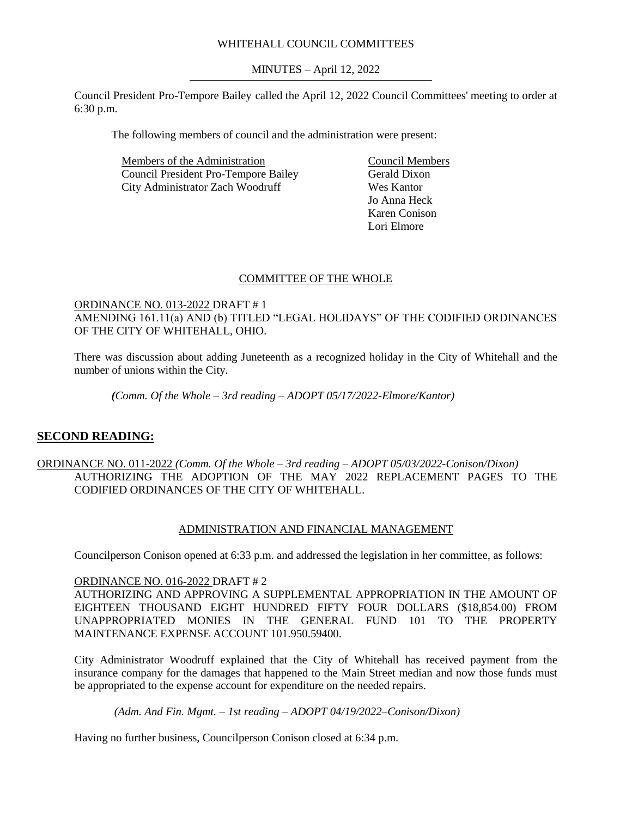## WHITEHALL COUNCIL COMMITTEES

MINUTES – April 12, 2022

Council President Pro-Tempore Bailey called the April 12, 2022 Council Committees' meeting to order at 6:30 p.m.

The following members of council and the administration were present:

Members of the Administration Council President Pro-Tempore Bailey City Administrator Zach Woodruff

Council Members Gerald Dixon Wes Kantor Jo Anna Heck Karen Conison Lori Elmore

#### COMMITTEE OF THE WHOLE

# ORDINANCE NO. 013-2022 DRAFT # 1 AMENDING 161.11(a) AND (b) TITLED "LEGAL HOLIDAYS" OF THE CODIFIED ORDINANCES OF THE CITY OF WHITEHALL, OHIO.

There was discussion about adding Juneteenth as a recognized holiday in the City of Whitehall and the number of unions within the City.

*(Comm. Of the Whole – 3rd reading – ADOPT 05/17/2022-Elmore/Kantor)*

# **SECOND READING:**

## ORDINANCE NO. 011-2022 *(Comm. Of the Whole – 3rd reading – ADOPT 05/03/2022-Conison/Dixon)* AUTHORIZING THE ADOPTION OF THE MAY 2022 REPLACEMENT PAGES TO THE CODIFIED ORDINANCES OF THE CITY OF WHITEHALL.

#### ADMINISTRATION AND FINANCIAL MANAGEMENT

Councilperson Conison opened at 6:33 p.m. and addressed the legislation in her committee, as follows:

#### ORDINANCE NO. 016-2022 DRAFT # 2

AUTHORIZING AND APPROVING A SUPPLEMENTAL APPROPRIATION IN THE AMOUNT OF EIGHTEEN THOUSAND EIGHT HUNDRED FIFTY FOUR DOLLARS (\$18,854.00) FROM UNAPPROPRIATED MONIES IN THE GENERAL FUND 101 TO THE PROPERTY MAINTENANCE EXPENSE ACCOUNT 101.950.59400.

City Administrator Woodruff explained that the City of Whitehall has received payment from the insurance company for the damages that happened to the Main Street median and now those funds must be appropriated to the expense account for expenditure on the needed repairs.

*(Adm. And Fin. Mgmt. – 1st reading – ADOPT 04/19/2022–Conison/Dixon)*

Having no further business, Councilperson Conison closed at 6:34 p.m.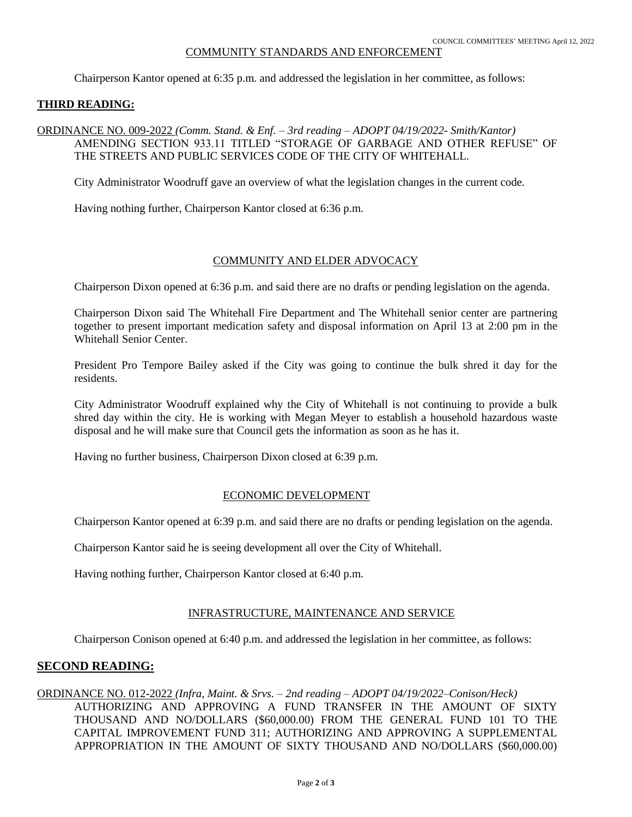#### COMMUNITY STANDARDS AND ENFORCEMENT

Chairperson Kantor opened at 6:35 p.m. and addressed the legislation in her committee, as follows:

#### **THIRD READING:**

## ORDINANCE NO. 009-2022 *(Comm. Stand. & Enf. – 3rd reading – ADOPT 04/19/2022- Smith/Kantor)* AMENDING SECTION 933.11 TITLED "STORAGE OF GARBAGE AND OTHER REFUSE" OF THE STREETS AND PUBLIC SERVICES CODE OF THE CITY OF WHITEHALL.

City Administrator Woodruff gave an overview of what the legislation changes in the current code.

Having nothing further, Chairperson Kantor closed at 6:36 p.m.

## COMMUNITY AND ELDER ADVOCACY

Chairperson Dixon opened at 6:36 p.m. and said there are no drafts or pending legislation on the agenda.

Chairperson Dixon said The Whitehall Fire Department and The Whitehall senior center are partnering together to present important medication safety and disposal information on April 13 at 2:00 pm in the Whitehall Senior Center.

President Pro Tempore Bailey asked if the City was going to continue the bulk shred it day for the residents.

City Administrator Woodruff explained why the City of Whitehall is not continuing to provide a bulk shred day within the city. He is working with Megan Meyer to establish a household hazardous waste disposal and he will make sure that Council gets the information as soon as he has it.

Having no further business, Chairperson Dixon closed at 6:39 p.m.

## ECONOMIC DEVELOPMENT

Chairperson Kantor opened at 6:39 p.m. and said there are no drafts or pending legislation on the agenda.

Chairperson Kantor said he is seeing development all over the City of Whitehall.

Having nothing further, Chairperson Kantor closed at 6:40 p.m.

## INFRASTRUCTURE, MAINTENANCE AND SERVICE

Chairperson Conison opened at 6:40 p.m. and addressed the legislation in her committee, as follows:

## **SECOND READING:**

# ORDINANCE NO. 012-2022 *(Infra, Maint. & Srvs. – 2nd reading – ADOPT 04/19/2022–Conison/Heck)*

AUTHORIZING AND APPROVING A FUND TRANSFER IN THE AMOUNT OF SIXTY THOUSAND AND NO/DOLLARS (\$60,000.00) FROM THE GENERAL FUND 101 TO THE CAPITAL IMPROVEMENT FUND 311; AUTHORIZING AND APPROVING A SUPPLEMENTAL APPROPRIATION IN THE AMOUNT OF SIXTY THOUSAND AND NO/DOLLARS (\$60,000.00)